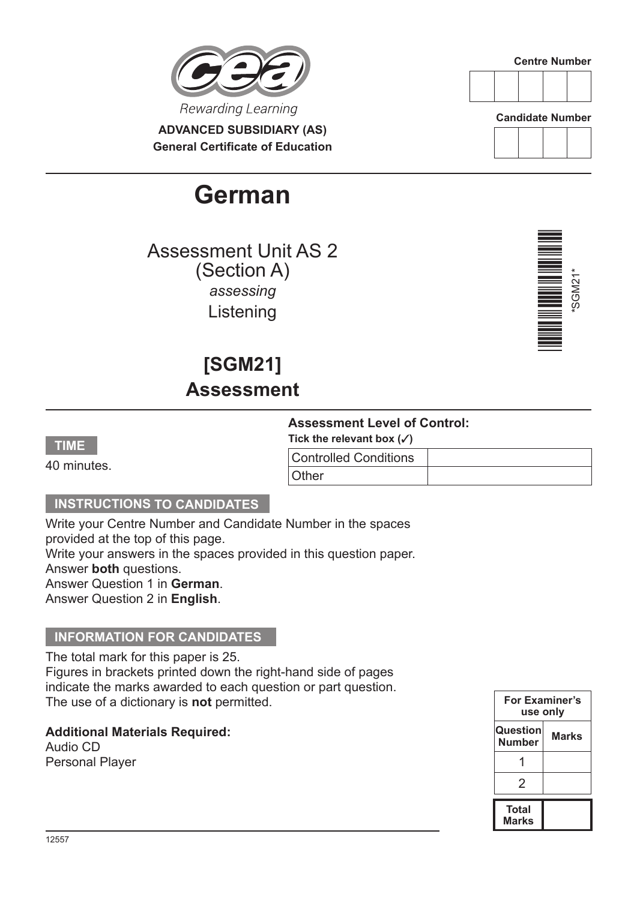

**ADVANCED SUBSIDIARY (AS) General Certificate of Education**

# **German**

Assessment Unit AS 2 (Section A) *assessing* Listening

**[SGM21]**

**Assessment**



**Candidate Number**





### **TIME**

40 minutes.

## **Assessment Level of Control:**

Tick the relevant box  $({\checkmark})$ 

| <b>Controlled Conditions</b> |  |
|------------------------------|--|
| Other                        |  |

# **INSTRUCTIONS TO CANDIDATES**

Write your Centre Number and Candidate Number in the spaces provided at the top of this page. Write your answers in the spaces provided in this question paper. Answer **both** questions. Answer Question 1 in **German**. Answer Question 2 in **English**.

### **INFORMATION FOR CANDIDATES**

The total mark for this paper is 25.

Figures in brackets printed down the right-hand side of pages indicate the marks awarded to each question or part question. The use of a dictionary is **not** permitted.

**Additional Materials Required:** Audio CD Personal Player

**For Examiner's use only Question Number Marks** 1  $\mathfrak{D}$ **Total Marks**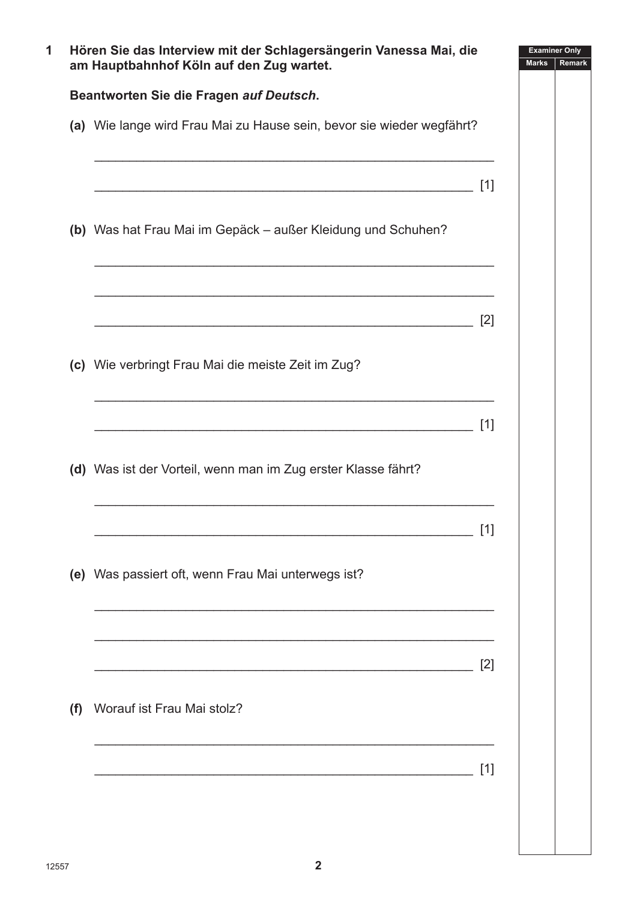|     | Hören Sie das Interview mit der Schlagersängerin Vanessa Mai, die<br>am Hauptbahnhof Köln auf den Zug wartet. |       | <b>Examiner Only</b><br><b>Marks</b><br>Remark |
|-----|---------------------------------------------------------------------------------------------------------------|-------|------------------------------------------------|
|     | Beantworten Sie die Fragen auf Deutsch.                                                                       |       |                                                |
|     | (a) Wie lange wird Frau Mai zu Hause sein, bevor sie wieder wegfährt?                                         |       |                                                |
|     |                                                                                                               | $[1]$ |                                                |
|     | (b) Was hat Frau Mai im Gepäck - außer Kleidung und Schuhen?                                                  |       |                                                |
|     |                                                                                                               | [2]   |                                                |
|     | (c) Wie verbringt Frau Mai die meiste Zeit im Zug?                                                            |       |                                                |
|     |                                                                                                               | $[1]$ |                                                |
|     | (d) Was ist der Vorteil, wenn man im Zug erster Klasse fährt?                                                 |       |                                                |
|     |                                                                                                               | $[1]$ |                                                |
|     | (e) Was passiert oft, wenn Frau Mai unterwegs ist?                                                            |       |                                                |
|     |                                                                                                               | [2]   |                                                |
| (f) | Worauf ist Frau Mai stolz?                                                                                    |       |                                                |
|     |                                                                                                               | [1]   |                                                |
|     |                                                                                                               |       |                                                |
|     |                                                                                                               |       |                                                |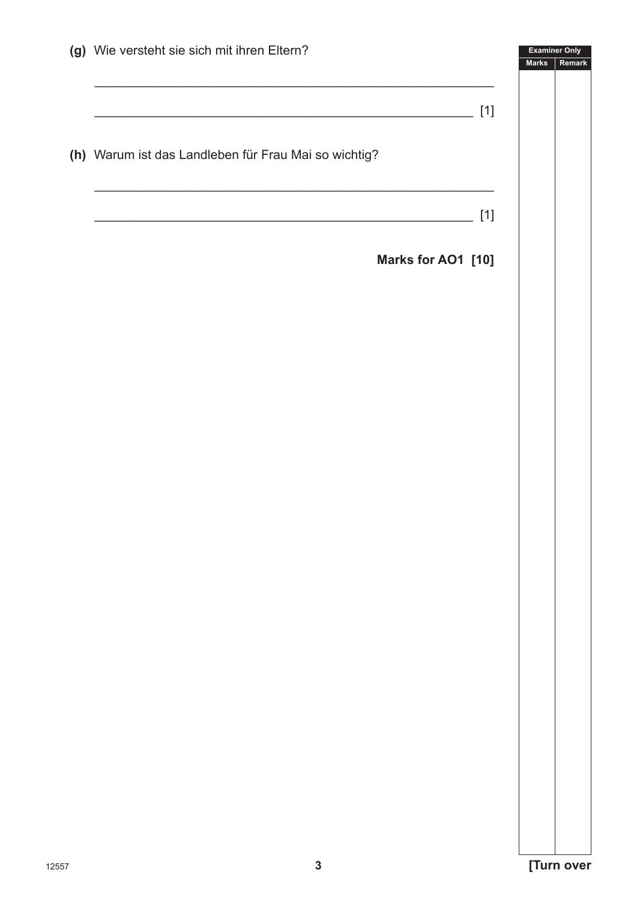|       | (g) Wie versteht sie sich mit ihren Eltern?          |       | <b>Examiner Only</b><br><b>Marks</b><br>Remark |
|-------|------------------------------------------------------|-------|------------------------------------------------|
|       |                                                      | $[1]$ |                                                |
|       | (h) Warum ist das Landleben für Frau Mai so wichtig? |       |                                                |
|       |                                                      | $[1]$ |                                                |
|       | Marks for AO1 [10]                                   |       |                                                |
|       |                                                      |       |                                                |
|       |                                                      |       |                                                |
|       |                                                      |       |                                                |
|       |                                                      |       |                                                |
|       |                                                      |       |                                                |
|       |                                                      |       |                                                |
|       |                                                      |       |                                                |
|       |                                                      |       |                                                |
|       |                                                      |       |                                                |
|       |                                                      |       |                                                |
|       |                                                      |       |                                                |
| 12557 | $\mathbf{3}$                                         |       | [Turn over                                     |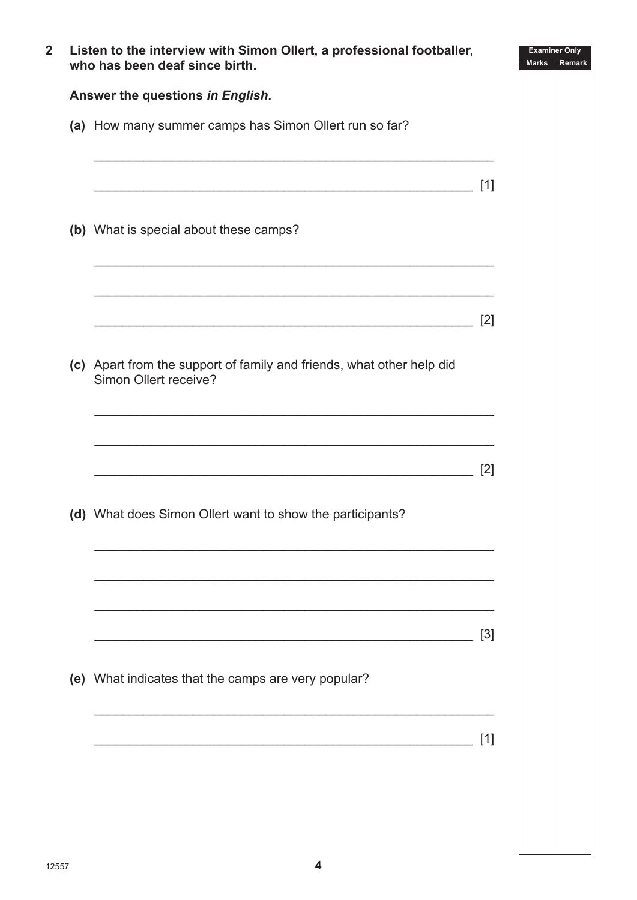| Listen to the interview with Simon Ollert, a professional footballer,<br>who has been deaf since birth. |       | <b>Examiner Only</b><br><b>Marks</b><br>Remark |  |
|---------------------------------------------------------------------------------------------------------|-------|------------------------------------------------|--|
| Answer the questions in English.                                                                        |       |                                                |  |
| (a) How many summer camps has Simon Ollert run so far?                                                  |       |                                                |  |
|                                                                                                         | $[1]$ |                                                |  |
| (b) What is special about these camps?                                                                  |       |                                                |  |
|                                                                                                         | $[2]$ |                                                |  |
| (c) Apart from the support of family and friends, what other help did<br>Simon Ollert receive?          |       |                                                |  |
|                                                                                                         | $[2]$ |                                                |  |
| (d) What does Simon Ollert want to show the participants?                                               |       |                                                |  |
|                                                                                                         | $[3]$ |                                                |  |
| (e) What indicates that the camps are very popular?                                                     |       |                                                |  |
|                                                                                                         | [1]   |                                                |  |
|                                                                                                         |       |                                                |  |
|                                                                                                         |       |                                                |  |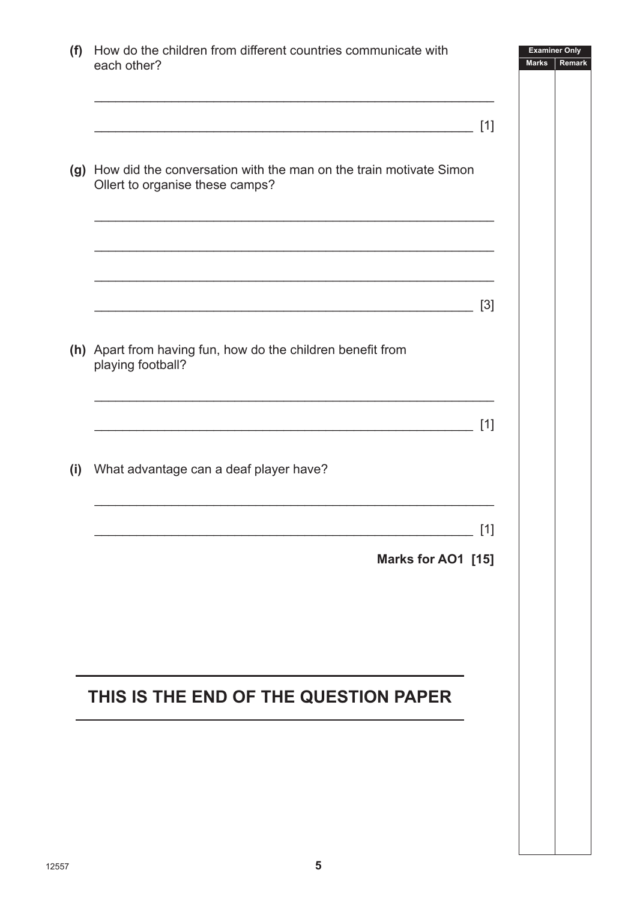| (f) | How do the children from different countries communicate with<br>each other?                                          | <b>Examiner Only</b><br><b>Marks</b><br>Remark |
|-----|-----------------------------------------------------------------------------------------------------------------------|------------------------------------------------|
|     | $[1]$                                                                                                                 |                                                |
|     | (g) How did the conversation with the man on the train motivate Simon<br>Ollert to organise these camps?              |                                                |
|     | <u> 1989 - Johann John Stoff, deutscher Stoffen und der Stoffen und der Stoffen und der Stoffen und der Stoffen u</u> |                                                |
|     | $[3]$                                                                                                                 |                                                |
|     | (h) Apart from having fun, how do the children benefit from<br>playing football?                                      |                                                |
|     | $[1]$                                                                                                                 |                                                |
| (i) | What advantage can a deaf player have?                                                                                |                                                |
|     | $[1]$                                                                                                                 |                                                |
|     | Marks for AO1 [15]                                                                                                    |                                                |
|     |                                                                                                                       |                                                |
|     |                                                                                                                       |                                                |
|     |                                                                                                                       |                                                |
|     | THIS IS THE END OF THE QUESTION PAPER                                                                                 |                                                |
|     |                                                                                                                       |                                                |
|     |                                                                                                                       |                                                |
|     |                                                                                                                       |                                                |
|     |                                                                                                                       |                                                |